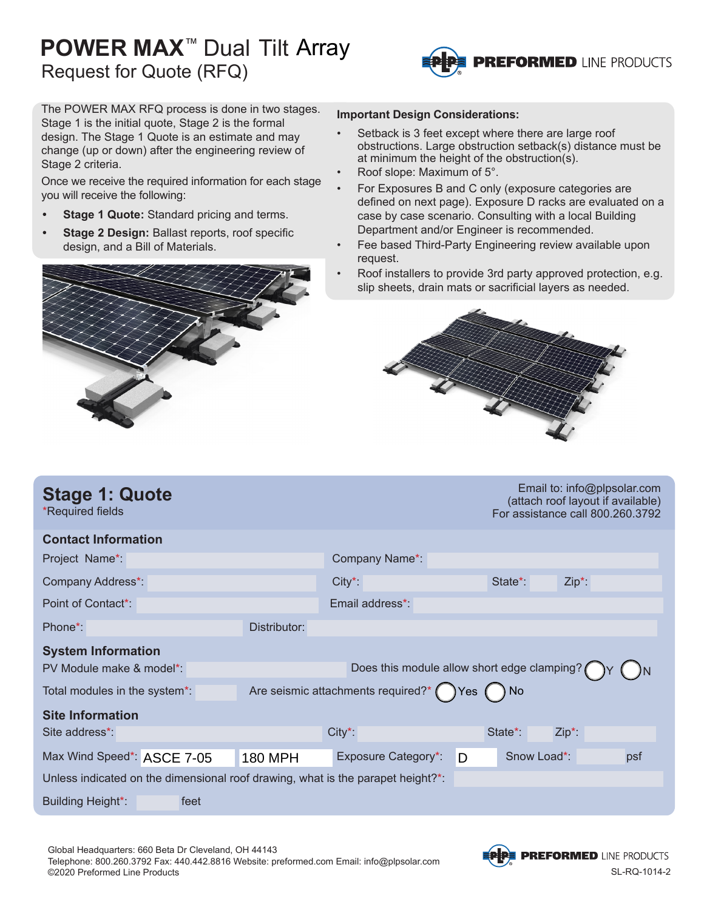## **POWER MAX**™ Dual Tilt Array Request for Quote (RFQ)



The POWER MAX RFQ process is done in two stages. Stage 1 is the initial quote, Stage 2 is the formal design. The Stage 1 Quote is an estimate and may change (up or down) after the engineering review of Stage 2 criteria.

Once we receive the required information for each stage you will receive the following:

- **• Stage 1 Quote:** Standard pricing and terms.
- **• Stage 2 Design:** Ballast reports, roof specific design, and a Bill of Materials.



#### **Important Design Considerations:**

- Setback is 3 feet except where there are large roof obstructions. Large obstruction setback(s) distance must be at minimum the height of the obstruction(s).
- Roof slope: Maximum of 5°.
- For Exposures B and C only (exposure categories are defined on next page). Exposure D racks are evaluated on a case by case scenario. Consulting with a local Building Department and/or Engineer is recommended.
- Fee based Third-Party Engineering review available upon request.
- Roof installers to provide 3rd party approved protection, e.g. slip sheets, drain mats or sacrificial layers as needed.



| <b>Stage 1: Quote</b><br>*Required fields                                       |                | Email to: info@plpsolar.com<br>(attach roof layout if available)<br>For assistance call 800.260.3792 |       |                      |          |  |
|---------------------------------------------------------------------------------|----------------|------------------------------------------------------------------------------------------------------|-------|----------------------|----------|--|
| <b>Contact Information</b>                                                      |                |                                                                                                      |       |                      |          |  |
| Project Name*:                                                                  |                | Company Name*                                                                                        |       |                      |          |  |
| Company Address*:                                                               |                | $City^*$                                                                                             |       | State <sup>*</sup> : | $Zip*$ : |  |
| Point of Contact*:                                                              |                | Email address*:                                                                                      |       |                      |          |  |
| Phone <sup>*</sup> :                                                            | Distributor:   |                                                                                                      |       |                      |          |  |
| <b>System Information</b>                                                       |                |                                                                                                      |       |                      |          |  |
| PV Module make & model*:                                                        |                | Does this module allow short edge clamping?                                                          |       |                      |          |  |
| Total modules in the system*:                                                   |                | Are seismic attachments required?* (                                                                 | Yes ( | ) No                 |          |  |
| <b>Site Information</b>                                                         |                |                                                                                                      |       |                      |          |  |
| Site address*                                                                   |                | $City^*$                                                                                             |       | State*:              | $Zip*$ : |  |
| Max Wind Speed*: ASCE 7-05                                                      | <b>180 MPH</b> | <b>Exposure Category*:</b>                                                                           | D     | Snow Load*:          | psf      |  |
| Unless indicated on the dimensional roof drawing, what is the parapet height?*: |                |                                                                                                      |       |                      |          |  |
| <b>Building Height*:</b><br>feet                                                |                |                                                                                                      |       |                      |          |  |